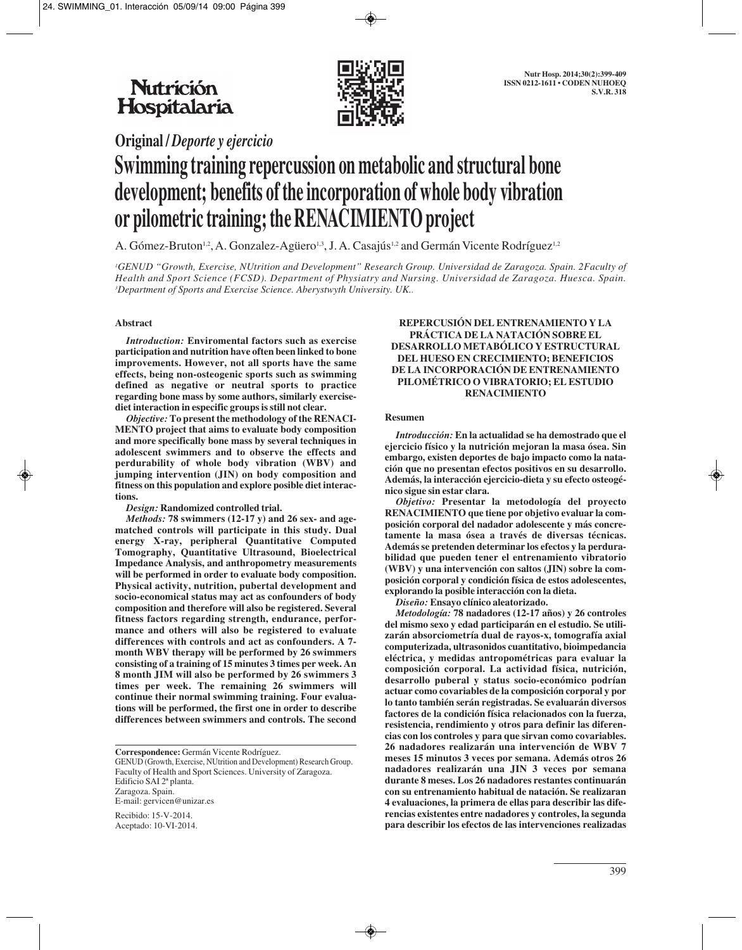# **Nutrición** Hospitalaria



**Original /** *Deporte y ejercicio*

# **Swimming training repercussion on metabolic and structural bone development; benefits of the incorporation of whole body vibration or pilometric training; the RENACIMIENTO project**

A. Gómez-Bruton<sup>1,2</sup>, A. Gonzalez-Agüero<sup>1,3</sup>, J. A. Casajús<sup>1,2</sup> and Germán Vicente Rodríguez<sup>1,2</sup>

*1 GENUD "Growth, Exercise, NUtrition and Development" Research Group. Universidad de Zaragoza. Spain. 2Faculty of Health and Sport Science (FCSD). Department of Physiatry and Nursing. Universidad de Zaragoza. Huesca. Spain. 3 Department of Sports and Exercise Science. Aberystwyth University. UK..*

### **Abstract**

*Introduction:* **Enviromental factors such as exercise participation and nutrition have often been linked to bone improvements. However, not all sports have the same effects, being non-osteogenic sports such as swimming defined as negative or neutral sports to practice regarding bone mass by some authors, similarly exercisediet interaction in especific groups is still not clear.**

*Objective:* **To present the methodology of the RENACI-MENTO project that aims to evaluate body composition and more specifically bone mass by several techniques in adolescent swimmers and to observe the effects and perdurability of whole body vibration (WBV) and jumping intervention (JIN) on body composition and fitness on this population and explore posible diet interactions.**

*Design:* **Randomized controlled trial.**

*Methods:* **78 swimmers (12-17 y) and 26 sex- and agematched controls will participate in this study. Dual energy X-ray, peripheral Quantitative Computed Tomography, Quantitative Ultrasound, Bioelectrical Impedance Analysis, and anthropometry measurements will be performed in order to evaluate body composition. Physical activity, nutrition, pubertal development and socio-economical status may act as confounders of body composition and therefore will also be registered. Several fitness factors regarding strength, endurance, performance and others will also be registered to evaluate differences with controls and act as confounders. A 7 month WBV therapy will be performed by 26 swimmers consisting of a training of 15 minutes 3 times per week. An 8 month JIM will also be performed by 26 swimmers 3 times per week. The remaining 26 swimmers will continue their normal swimming training. Four evaluations will be performed, the first one in order to describe differences between swimmers and controls. The second**

**Correspondence:** Germán Vicente Rodríguez.

GENUD (Growth, Exercise, NUtrition and Development) Research Group. Faculty of Health and Sport Sciences. University of Zaragoza. Edificio SAI 2ª planta. Zaragoza. Spain. E-mail: gervicen@unizar.es

Recibido: 15-V-2014. Aceptado: 10-VI-2014.

#### **REPERCUSIÓN DEL ENTRENAMIENTO Y LA PRÁCTICA DE LA NATACIÓN SOBRE EL DESARROLLO METABÓLICO Y ESTRUCTURAL DEL HUESO EN CRECIMIENTO; BENEFICIOS DE LA INCORPORACIÓN DE ENTRENAMIENTO PILOMÉTRICO O VIBRATORIO; EL ESTUDIO RENACIMIENTO**

#### **Resumen**

*Introducción:* **En la actualidad se ha demostrado que el ejercicio físico y la nutrición mejoran la masa ósea. Sin embargo, existen deportes de bajo impacto como la natación que no presentan efectos positivos en su desarrollo. Además, la interacción ejercicio-dieta y su efecto osteogénico sigue sin estar clara.**

*Objetivo:* **Presentar la metodología del proyecto RENACIMIENTO que tiene por objetivo evaluar la composición corporal del nadador adolescente y más concretamente la masa ósea a través de diversas técnicas. Además se pretenden determinar los efectos y la perdurabilidad que pueden tener el entrenamiento vibratorio (WBV) y una intervención con saltos (JIN) sobre la composición corporal y condición física de estos adolescentes, explorando la posible interacción con la dieta.**

*Diseño:* **Ensayo clínico aleatorizado.**

*Metodología:* **78 nadadores (12-17 años) y 26 controles del mismo sexo y edad participarán en el estudio. Se utilizarán absorciometría dual de rayos-x, tomografía axial computerizada, ultrasonidos cuantitativo, bioimpedancia eléctrica, y medidas antropométricas para evaluar la composición corporal. La actividad física, nutrición, desarrollo puberal y status socio-económico podrían actuar como covariables de la composición corporal y por lo tanto también serán registradas. Se evaluarán diversos factores de la condición física relacionados con la fuerza, resistencia, rendimiento y otros para definir las diferencias con los controles y para que sirvan como covariables. 26 nadadores realizarán una intervención de WBV 7 meses 15 minutos 3 veces por semana. Además otros 26 nadadores realizarán una JIN 3 veces por semana durante 8 meses. Los 26 nadadores restantes continuarán con su entrenamiento habitual de natación. Se realizaran 4 evaluaciones, la primera de ellas para describir las diferencias existentes entre nadadores y controles, la segunda para describir los efectos de las intervenciones realizadas**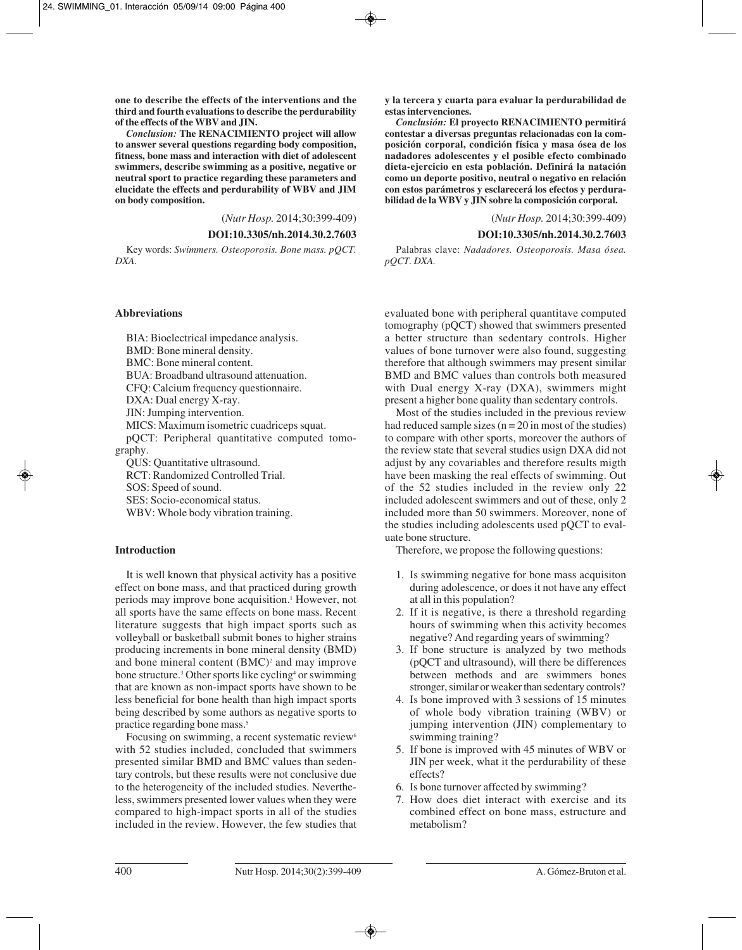**one to describe the effects of the interventions and the third and fourth evaluations to describe the perdurability of the effects of the WBV and JIN.**

*Conclusion:* **The RENACIMIENTO project will allow to answer several questions regarding body composition, fitness, bone mass and interaction with diet of adolescent swimmers, describe swimming as a positive, negative or neutral sport to practice regarding these parameters and elucidate the effects and perdurability of WBV and JIM on body composition.**

(*Nutr Hosp.* 2014;30:399-409)

#### **DOI:10.3305/nh.2014.30.2.7603**

Key words: *Swimmers. Osteoporosis. Bone mass. pQCT. DXA.*

#### **Abbreviations**

BIA: Bioelectrical impedance analysis. BMD: Bone mineral density. BMC: Bone mineral content. BUA: Broadband ultrasound attenuation. CFQ: Calcium frequency questionnaire. DXA: Dual energy X-ray. JIN: Jumping intervention. MICS: Maximum isometric cuadriceps squat. pQCT: Peripheral quantitative computed tomography. QUS: Quantitative ultrasound. RCT: Randomized Controlled Trial.

SOS: Speed of sound.

SES: Socio-economical status.

WBV: Whole body vibration training.

#### **Introduction**

It is well known that physical activity has a positive effect on bone mass, and that practiced during growth periods may improve bone acquisition.<sup>1</sup> However, not all sports have the same effects on bone mass. Recent literature suggests that high impact sports such as volleyball or basketball submit bones to higher strains producing increments in bone mineral density (BMD) and bone mineral content  $(BMC)^2$  and may improve bone structure.<sup>3</sup> Other sports like cycling<sup>4</sup> or swimming that are known as non-impact sports have shown to be less beneficial for bone health than high impact sports being described by some authors as negative sports to practice regarding bone mass.<sup>5</sup>

Focusing on swimming, a recent systematic review<sup>6</sup> with 52 studies included, concluded that swimmers presented similar BMD and BMC values than sedentary controls, but these results were not conclusive due to the heterogeneity of the included studies. Nevertheless, swimmers presented lower values when they were compared to high-impact sports in all of the studies included in the review. However, the few studies that

**y la tercera y cuarta para evaluar la perdurabilidad de estas intervenciones.**

*Conclusión:* **El proyecto RENACIMIENTO permitirá contestar a diversas preguntas relacionadas con la composición corporal, condición física y masa ósea de los nadadores adolescentes y el posible efecto combinado dieta-ejercicio en esta población. Definirá la natación como un deporte positivo, neutral o negativo en relación con estos parámetros y esclarecerá los efectos y perdurabilidad de la WBV y JIN sobre la composición corporal.**

(*Nutr Hosp.* 2014;30:399-409)

**DOI:10.3305/nh.2014.30.2.7603**

Palabras clave: *Nadadores. Osteoporosis. Masa ósea. pQCT. DXA.*

evaluated bone with peripheral quantitave computed tomography (pQCT) showed that swimmers presented a better structure than sedentary controls. Higher values of bone turnover were also found, suggesting therefore that although swimmers may present similar BMD and BMC values than controls both measured with Dual energy X-ray (DXA), swimmers might present a higher bone quality than sedentary controls.

Most of the studies included in the previous review had reduced sample sizes ( $n = 20$  in most of the studies) to compare with other sports, moreover the authors of the review state that several studies usign DXA did not adjust by any covariables and therefore results migth have been masking the real effects of swimming. Out of the 52 studies included in the review only 22 included adolescent swimmers and out of these, only 2 included more than 50 swimmers. Moreover, none of the studies including adolescents used pQCT to evaluate bone structure.

Therefore, we propose the following questions:

- 1. Is swimming negative for bone mass acquisiton during adolescence, or does it not have any effect at all in this population?
- 2. If it is negative, is there a threshold regarding hours of swimming when this activity becomes negative? And regarding years of swimming?
- 3. If bone structure is analyzed by two methods (pQCT and ultrasound), will there be differences between methods and are swimmers bones stronger, similar or weaker than sedentary controls?
- 4. Is bone improved with 3 sessions of 15 minutes of whole body vibration training (WBV) or jumping intervention (JIN) complementary to swimming training?
- 5. If bone is improved with 45 minutes of WBV or JIN per week, what it the perdurability of these effects?
- 6. Is bone turnover affected by swimming?
- 7. How does diet interact with exercise and its combined effect on bone mass, estructure and metabolism?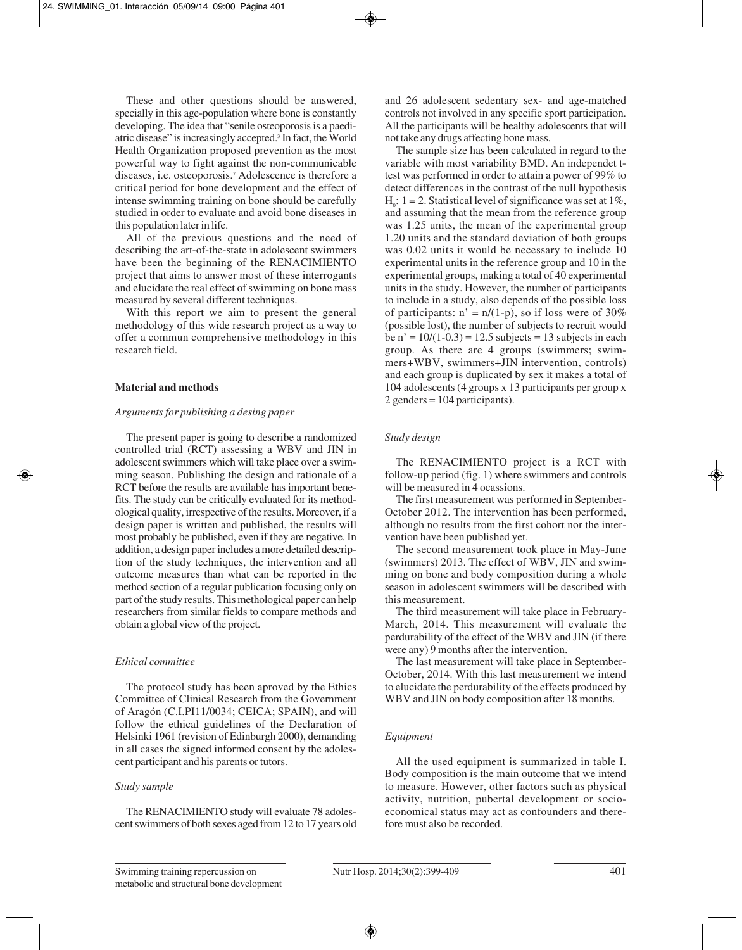These and other questions should be answered, specially in this age-population where bone is constantly developing. The idea that "senile osteoporosis is a paediatric disease" is increasingly accepted.3 In fact, the World Health Organization proposed prevention as the most powerful way to fight against the non-communicable diseases, i.e. osteoporosis.7 Adolescence is therefore a critical period for bone development and the effect of intense swimming training on bone should be carefully studied in order to evaluate and avoid bone diseases in this population later in life.

All of the previous questions and the need of describing the art-of-the-state in adolescent swimmers have been the beginning of the RENACIMIENTO project that aims to answer most of these interrogants and elucidate the real effect of swimming on bone mass measured by several different techniques.

With this report we aim to present the general methodology of this wide research project as a way to offer a commun comprehensive methodology in this research field.

#### **Material and methods**

#### *Arguments for publishing a desing paper*

The present paper is going to describe a randomized controlled trial (RCT) assessing a WBV and JIN in adolescent swimmers which will take place over a swimming season. Publishing the design and rationale of a RCT before the results are available has important benefits. The study can be critically evaluated for its methodological quality, irrespective of the results. Moreover, if a design paper is written and published, the results will most probably be published, even if they are negative. In addition, a design paper includes a more detailed description of the study techniques, the intervention and all outcome measures than what can be reported in the method section of a regular publication focusing only on part of the study results. This methological paper can help researchers from similar fields to compare methods and obtain a global view of the project.

#### *Ethical committee*

The protocol study has been aproved by the Ethics Committee of Clinical Research from the Government of Aragón (C.I.PI11/0034; CEICA; SPAIN), and will follow the ethical guidelines of the Declaration of Helsinki 1961 (revision of Edinburgh 2000), demanding in all cases the signed informed consent by the adolescent participant and his parents or tutors.

#### *Study sample*

The RENACIMIENTO study will evaluate 78 adolescent swimmers of both sexes aged from 12 to 17 years old and 26 adolescent sedentary sex- and age-matched controls not involved in any specific sport participation. All the participants will be healthy adolescents that will not take any drugs affecting bone mass.

The sample size has been calculated in regard to the variable with most variability BMD. An independet ttest was performed in order to attain a power of 99% to detect differences in the contrast of the null hypothesis  $H_0$ : 1 = 2. Statistical level of significance was set at 1%, and assuming that the mean from the reference group was 1.25 units, the mean of the experimental group 1.20 units and the standard deviation of both groups was 0.02 units it would be necessary to include 10 experimental units in the reference group and 10 in the experimental groups, making a total of 40 experimental units in the study. However, the number of participants to include in a study, also depends of the possible loss of participants:  $n' = n/(1-p)$ , so if loss were of 30% (possible lost), the number of subjects to recruit would be  $n' = 10/(1-0.3) = 12.5$  subjects = 13 subjects in each group. As there are 4 groups (swimmers; swimmers+WBV, swimmers+JIN intervention, controls) and each group is duplicated by sex it makes a total of 104 adolescents (4 groups x 13 participants per group x 2 genders = 104 participants).

#### *Study design*

The RENACIMIENTO project is a RCT with follow-up period (fig. 1) where swimmers and controls will be measured in 4 ocassions.

The first measurement was performed in September-October 2012. The intervention has been performed, although no results from the first cohort nor the intervention have been published yet.

The second measurement took place in May-June (swimmers) 2013. The effect of WBV, JIN and swimming on bone and body composition during a whole season in adolescent swimmers will be described with this measurement.

The third measurement will take place in February-March, 2014. This measurement will evaluate the perdurability of the effect of the WBV and JIN (if there were any) 9 months after the intervention.

The last measurement will take place in September-October, 2014. With this last measurement we intend to elucidate the perdurability of the effects produced by WBV and JIN on body composition after 18 months.

#### *Equipment*

All the used equipment is summarized in table I. Body composition is the main outcome that we intend to measure. However, other factors such as physical activity, nutrition, pubertal development or socioeconomical status may act as confounders and therefore must also be recorded.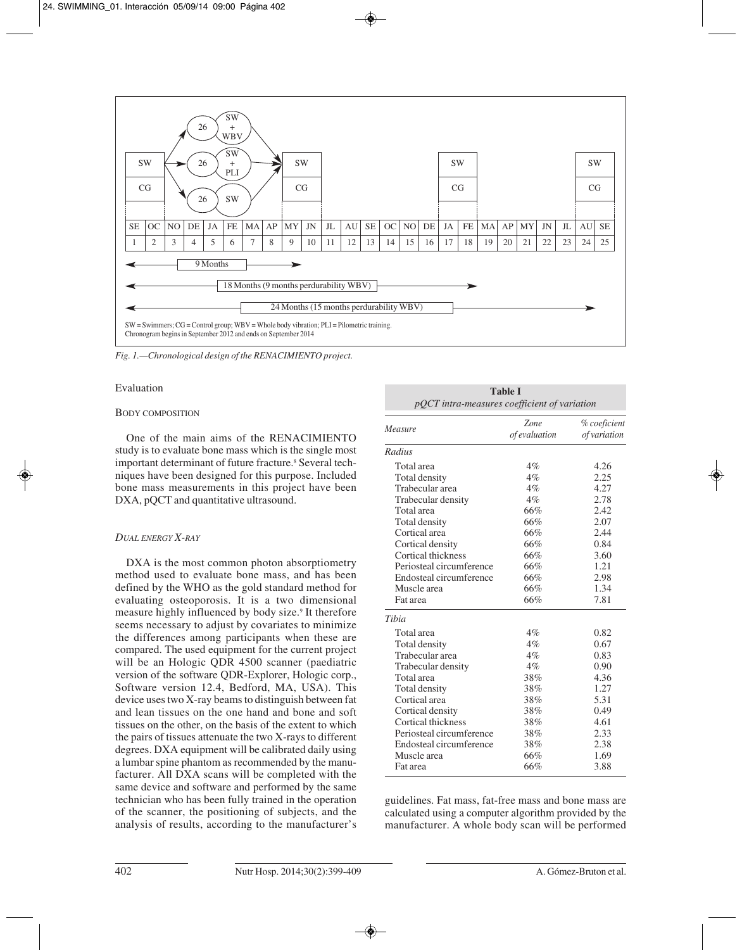

*Fig. 1.—Chronological design of the RENACIMIENTO project.*

#### Evaluation

### BODY COMPOSITION

One of the main aims of the RENACIMIENTO study is to evaluate bone mass which is the single most important determinant of future fracture.<sup>8</sup> Several techniques have been designed for this purpose. Included bone mass measurements in this project have been DXA, pQCT and quantitative ultrasound.

# *DUAL ENERGY X-RAY*

DXA is the most common photon absorptiometry method used to evaluate bone mass, and has been defined by the WHO as the gold standard method for evaluating osteoporosis. It is a two dimensional measure highly influenced by body size.<sup>9</sup> It therefore seems necessary to adjust by covariates to minimize the differences among participants when these are compared. The used equipment for the current project will be an Hologic QDR 4500 scanner (paediatric version of the software QDR-Explorer, Hologic corp., Software version 12.4, Bedford, MA, USA). This device uses two X-ray beams to distinguish between fat and lean tissues on the one hand and bone and soft tissues on the other, on the basis of the extent to which the pairs of tissues attenuate the two X-rays to different degrees. DXA equipment will be calibrated daily using a lumbar spine phantom as recommended by the manufacturer. All DXA scans will be completed with the same device and software and performed by the same technician who has been fully trained in the operation of the scanner, the positioning of subjects, and the analysis of results, according to the manufacturer's

| <b>Table I</b><br>pQCT intra-measures coefficient of variation |                       |                              |  |  |  |
|----------------------------------------------------------------|-----------------------|------------------------------|--|--|--|
| Measure                                                        | Zone<br>of evaluation | % coeficient<br>of variation |  |  |  |
| Radius                                                         |                       |                              |  |  |  |
| Total area                                                     | $4\%$                 | 4.26                         |  |  |  |
| Total density                                                  | 4%                    | 2.25                         |  |  |  |
| Trabecular area                                                | 4%                    | 4.27                         |  |  |  |
| Trabecular density                                             | 4%                    | 2.78                         |  |  |  |
| Total area                                                     | 66%                   | 2.42                         |  |  |  |
| Total density                                                  | 66%                   | 2.07                         |  |  |  |
| Cortical area                                                  | 66%                   | 2.44                         |  |  |  |
| Cortical density                                               | 66%                   | 0.84                         |  |  |  |
| Cortical thickness                                             | 66%                   | 3.60                         |  |  |  |
| Periosteal circumference                                       | 66%                   | 1.21                         |  |  |  |
| Endosteal circumference                                        | 66%                   | 2.98                         |  |  |  |
| Muscle area                                                    | 66%                   | 1.34                         |  |  |  |
| Fat area                                                       | 66%                   | 7.81                         |  |  |  |
| Tibia                                                          |                       |                              |  |  |  |
| Total area                                                     | 4%                    | 0.82                         |  |  |  |
| Total density                                                  | 4%                    | 0.67                         |  |  |  |
| Trabecular area                                                | 4%                    | 0.83                         |  |  |  |
| Trabecular density                                             | $4\%$                 | 0.90                         |  |  |  |
| Total area                                                     | 38%                   | 4.36                         |  |  |  |
| Total density                                                  | 38%                   | 1.27                         |  |  |  |
| Cortical area                                                  | 38%                   | 5.31                         |  |  |  |
| Cortical density                                               | 38%                   | 0.49                         |  |  |  |
| Cortical thickness                                             | 38%                   | 4.61                         |  |  |  |
| Periosteal circumference                                       | 38%                   | 2.33                         |  |  |  |
| Endosteal circumference                                        | 38%                   | 2.38                         |  |  |  |
| Muscle area                                                    | 66%                   | 1.69                         |  |  |  |
| Fat area                                                       | 66%                   | 3.88                         |  |  |  |

guidelines. Fat mass, fat-free mass and bone mass are calculated using a computer algorithm provided by the manufacturer. A whole body scan will be performed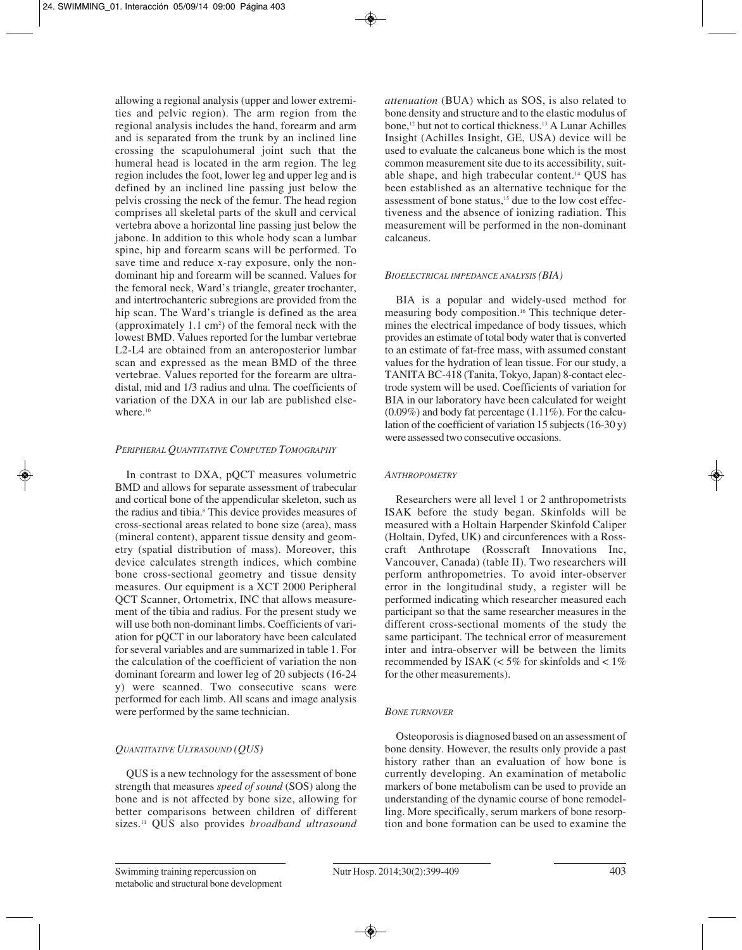allowing a regional analysis (upper and lower extremities and pelvic region). The arm region from the regional analysis includes the hand, forearm and arm and is separated from the trunk by an inclined line crossing the scapulohumeral joint such that the humeral head is located in the arm region. The leg region includes the foot, lower leg and upper leg and is defined by an inclined line passing just below the pelvis crossing the neck of the femur. The head region comprises all skeletal parts of the skull and cervical vertebra above a horizontal line passing just below the jabone. In addition to this whole body scan a lumbar spine, hip and forearm scans will be performed. To save time and reduce x-ray exposure, only the nondominant hip and forearm will be scanned. Values for the femoral neck, Ward's triangle, greater trochanter, and intertrochanteric subregions are provided from the hip scan. The Ward's triangle is defined as the area (approximately  $1.1 \text{ cm}^2$ ) of the femoral neck with the lowest BMD. Values reported for the lumbar vertebrae L2-L4 are obtained from an anteroposterior lumbar scan and expressed as the mean BMD of the three vertebrae. Values reported for the forearm are ultradistal, mid and 1/3 radius and ulna. The coefficients of variation of the DXA in our lab are published elsewhere.<sup>10</sup>

### *PERIPHERAL QUANTITATIVE COMPUTED TOMOGRAPHY*

In contrast to DXA, pQCT measures volumetric BMD and allows for separate assessment of trabecular and cortical bone of the appendicular skeleton, such as the radius and tibia.<sup>8</sup> This device provides measures of cross-sectional areas related to bone size (area), mass (mineral content), apparent tissue density and geometry (spatial distribution of mass). Moreover, this device calculates strength indices, which combine bone cross-sectional geometry and tissue density measures. Our equipment is a XCT 2000 Peripheral QCT Scanner, Ortometrix, INC that allows measurement of the tibia and radius. For the present study we will use both non-dominant limbs. Coefficients of variation for pQCT in our laboratory have been calculated for several variables and are summarized in table 1. For the calculation of the coefficient of variation the non dominant forearm and lower leg of 20 subjects (16-24 y) were scanned. Two consecutive scans were performed for each limb. All scans and image analysis were performed by the same technician.

# *QUANTITATIVE ULTRASOUND (QUS)*

QUS is a new technology for the assessment of bone strength that measures *speed of sound* (SOS) along the bone and is not affected by bone size, allowing for better comparisons between children of different sizes.11 QUS also provides *broadband ultrasound* *attenuation* (BUA) which as SOS, is also related to bone density and structure and to the elastic modulus of bone,12 but not to cortical thickness.13 A Lunar Achilles Insight (Achilles Insight, GE, USA) device will be used to evaluate the calcaneus bone which is the most common measurement site due to its accessibility, suitable shape, and high trabecular content.14 QUS has been established as an alternative technique for the assessment of bone status,<sup>15</sup> due to the low cost effectiveness and the absence of ionizing radiation. This measurement will be performed in the non-dominant calcaneus.

#### *BIOELECTRICAL IMPEDANCE ANALYSIS (BIA)*

BIA is a popular and widely-used method for measuring body composition.16 This technique determines the electrical impedance of body tissues, which provides an estimate of total body water that is converted to an estimate of fat-free mass, with assumed constant values for the hydration of lean tissue. For our study, a TANITA BC-418 (Tanita, Tokyo, Japan) 8-contact electrode system will be used. Coefficients of variation for BIA in our laboratory have been calculated for weight  $(0.09\%)$  and body fat percentage  $(1.11\%)$ . For the calculation of the coefficient of variation 15 subjects (16-30 y) were assessed two consecutive occasions.

#### *ANTHROPOMETRY*

Researchers were all level 1 or 2 anthropometrists ISAK before the study began. Skinfolds will be measured with a Holtain Harpender Skinfold Caliper (Holtain, Dyfed, UK) and circunferences with a Rosscraft Anthrotape (Rosscraft Innovations Inc, Vancouver, Canada) (table II). Two researchers will perform anthropometries. To avoid inter-observer error in the longitudinal study, a register will be performed indicating which researcher measured each participant so that the same researcher measures in the different cross-sectional moments of the study the same participant. The technical error of measurement inter and intra-observer will be between the limits recommended by ISAK  $\ll 5\%$  for skinfolds and  $\lt 1\%$ for the other measurements).

#### *BONE TURNOVER*

Osteoporosis is diagnosed based on an assessment of bone density. However, the results only provide a past history rather than an evaluation of how bone is currently developing. An examination of metabolic markers of bone metabolism can be used to provide an understanding of the dynamic course of bone remodelling. More specifically, serum markers of bone resorption and bone formation can be used to examine the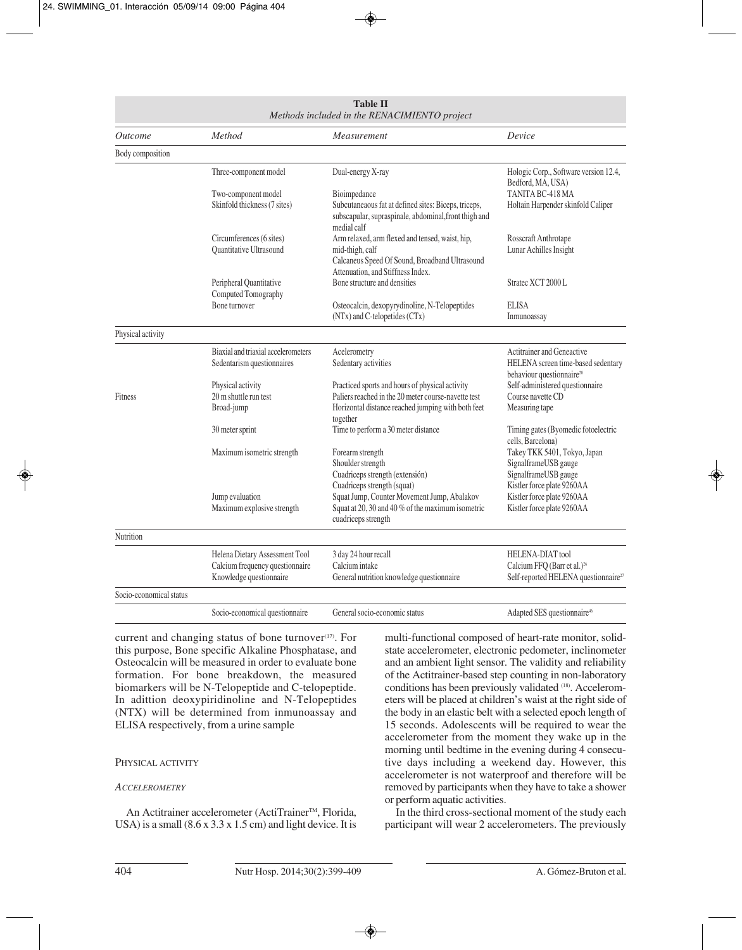| <b>Table II</b><br>Methods included in the RENACIMIENTO project |                                                                                              |                                                                                                                                                           |                                                                                                                 |  |  |  |
|-----------------------------------------------------------------|----------------------------------------------------------------------------------------------|-----------------------------------------------------------------------------------------------------------------------------------------------------------|-----------------------------------------------------------------------------------------------------------------|--|--|--|
| <i><u><b>Outcome</b></u></i>                                    | Method                                                                                       | Measurement                                                                                                                                               | Device                                                                                                          |  |  |  |
| Body composition                                                |                                                                                              |                                                                                                                                                           |                                                                                                                 |  |  |  |
|                                                                 | Three-component model                                                                        | Dual-energy X-ray                                                                                                                                         | Hologic Corp., Software version 12.4,<br>Bedford, MA, USA)                                                      |  |  |  |
|                                                                 | Two-component model<br>Skinfold thickness (7 sites)                                          | Bioimpedance<br>Subcutaneaous fat at defined sites: Biceps, triceps,<br>subscapular, supraspinale, abdominal, front thigh and<br>medial calf              | TANITA BC-418 MA<br>Holtain Harpender skinfold Caliper                                                          |  |  |  |
|                                                                 | Circumferences (6 sites)<br>Quantitative Ultrasound                                          | Arm relaxed, arm flexed and tensed, waist, hip,<br>mid-thigh, calf<br>Calcaneus Speed Of Sound, Broadband Ultrasound<br>Attenuation, and Stiffness Index. | Rosscraft Anthrotape<br>Lunar Achilles Insight                                                                  |  |  |  |
|                                                                 | Peripheral Quantitative<br>Computed Tomography                                               | Bone structure and densities                                                                                                                              | Stratec XCT 2000 L                                                                                              |  |  |  |
|                                                                 | Bone turnover                                                                                | Osteocalcin, dexopyrydinoline, N-Telopeptides<br>(NTx) and C-telopetides (CTx)                                                                            | <b>ELISA</b><br>Inmunoassay                                                                                     |  |  |  |
| Physical activity                                               |                                                                                              |                                                                                                                                                           |                                                                                                                 |  |  |  |
|                                                                 | Biaxial and triaxial accelerometers<br>Sedentarism questionnaires                            | Acelerometry<br>Sedentary activities                                                                                                                      | Actitrainer and Geneactive<br>HELENA screen time-based sedentary<br>behaviour questionnaire <sup>20</sup>       |  |  |  |
|                                                                 | Physical activity                                                                            | Practiced sports and hours of physical activity                                                                                                           | Self-administered questionnaire                                                                                 |  |  |  |
| Fitness                                                         | 20 m shuttle run test                                                                        | Paliers reached in the 20 meter course-navette test                                                                                                       | Course navette CD                                                                                               |  |  |  |
|                                                                 | Broad-jump                                                                                   | Horizontal distance reached jumping with both feet<br>together                                                                                            | Measuring tape                                                                                                  |  |  |  |
|                                                                 | 30 meter sprint                                                                              | Time to perform a 30 meter distance                                                                                                                       | Timing gates (Byomedic fotoelectric<br>cells, Barcelona)                                                        |  |  |  |
|                                                                 | Maximum isometric strength                                                                   | Forearm strength<br>Shoulder strength<br>Cuadriceps strength (extensión)<br>Cuadriceps strength (squat)                                                   | Takey TKK 5401, Tokyo, Japan<br>SignalframeUSB gauge<br>SignalframeUSB gauge<br>Kistler force plate 9260AA      |  |  |  |
|                                                                 | Jump evaluation<br>Maximum explosive strength                                                | Squat Jump, Counter Movement Jump, Abalakov<br>Squat at 20, 30 and 40 % of the maximum isometric<br>cuadriceps strength                                   | Kistler force plate 9260AA<br>Kistler force plate 9260AA                                                        |  |  |  |
| Nutrition                                                       |                                                                                              |                                                                                                                                                           |                                                                                                                 |  |  |  |
|                                                                 | Helena Dietary Assessment Tool<br>Calcium frequency questionnaire<br>Knowledge questionnaire | 3 day 24 hour recall<br>Calcium intake<br>General nutrition knowledge questionnaire                                                                       | HELENA-DIAT tool<br>Calcium FFQ (Barr et al.) <sup>26</sup><br>Self-reported HELENA questionnaire <sup>27</sup> |  |  |  |
| Socio-economical status                                         |                                                                                              |                                                                                                                                                           |                                                                                                                 |  |  |  |
|                                                                 | Socio-economical questionnaire                                                               | General socio-economic status                                                                                                                             | Adapted SES questionnaire <sup>46</sup>                                                                         |  |  |  |

current and changing status of bone turnover<sup>(17)</sup>. For this purpose, Bone specific Alkaline Phosphatase, and Osteocalcin will be measured in order to evaluate bone formation. For bone breakdown, the measured biomarkers will be N-Telopeptide and C-telopeptide. In adittion deoxypiridinoline and N-Telopeptides (NTX) will be determined from inmunoassay and ELISA respectively, from a urine sample

### PHYSICAL ACTIVITY

#### *ACCELEROMETRY*

An Actitrainer accelerometer (ActiTrainer™, Florida, USA) is a small  $(8.6 \times 3.3 \times 1.5 \text{ cm})$  and light device. It is multi-functional composed of heart-rate monitor, solidstate accelerometer, electronic pedometer, inclinometer and an ambient light sensor. The validity and reliability of the Actitrainer-based step counting in non-laboratory conditions has been previously validated (18). Accelerometers will be placed at children's waist at the right side of the body in an elastic belt with a selected epoch length of 15 seconds. Adolescents will be required to wear the accelerometer from the moment they wake up in the morning until bedtime in the evening during 4 consecutive days including a weekend day. However, this accelerometer is not waterproof and therefore will be removed by participants when they have to take a shower or perform aquatic activities.

In the third cross-sectional moment of the study each participant will wear 2 accelerometers. The previously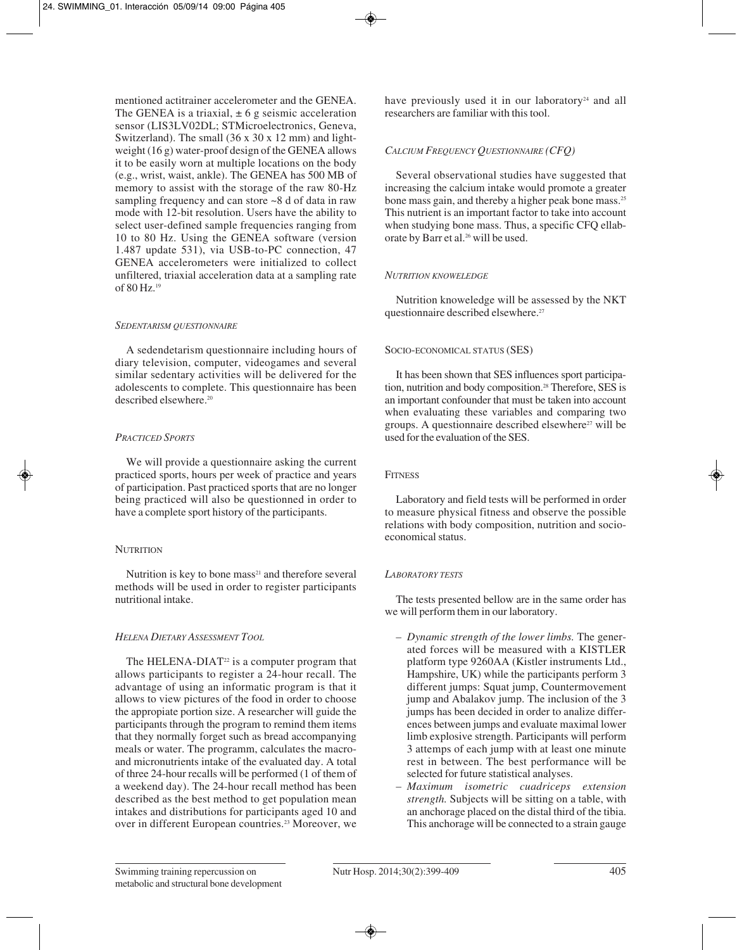mentioned actitrainer accelerometer and the GENEA. The GENEA is a triaxial,  $\pm 6$  g seismic acceleration sensor (LIS3LV02DL; STMicroelectronics, Geneva, Switzerland). The small (36 x 30 x 12 mm) and lightweight (16 g) water-proof design of the GENEA allows it to be easily worn at multiple locations on the body (e.g., wrist, waist, ankle). The GENEA has 500 MB of memory to assist with the storage of the raw 80-Hz sampling frequency and can store ~8 d of data in raw mode with 12-bit resolution. Users have the ability to select user-defined sample frequencies ranging from 10 to 80 Hz. Using the GENEA software (version 1.487 update 531), via USB-to-PC connection, 47 GENEA accelerometers were initialized to collect unfiltered, triaxial acceleration data at a sampling rate of 80 Hz.19

### *SEDENTARISM QUESTIONNAIRE*

A sedendetarism questionnaire including hours of diary television, computer, videogames and several similar sedentary activities will be delivered for the adolescents to complete. This questionnaire has been described elsewhere.20

### *PRACTICED SPORTS*

We will provide a questionnaire asking the current practiced sports, hours per week of practice and years of participation. Past practiced sports that are no longer being practiced will also be questionned in order to have a complete sport history of the participants.

# **NUTRITION**

Nutrition is key to bone mass $21$  and therefore several methods will be used in order to register participants nutritional intake.

# *HELENA DIETARY ASSESSMENT TOOL*

The HELENA-DIAT $22$  is a computer program that allows participants to register a 24-hour recall. The advantage of using an informatic program is that it allows to view pictures of the food in order to choose the appropiate portion size. A researcher will guide the participants through the program to remind them items that they normally forget such as bread accompanying meals or water. The programm, calculates the macroand micronutrients intake of the evaluated day. A total of three 24-hour recalls will be performed (1 of them of a weekend day). The 24-hour recall method has been described as the best method to get population mean intakes and distributions for participants aged 10 and over in different European countries.<sup>23</sup> Moreover, we have previously used it in our laboratory<sup>24</sup> and all researchers are familiar with this tool.

# *CALCIUM FREQUENCY QUESTIONNAIRE (CFQ)*

Several observational studies have suggested that increasing the calcium intake would promote a greater bone mass gain, and thereby a higher peak bone mass.25 This nutrient is an important factor to take into account when studying bone mass. Thus, a specific CFQ ellaborate by Barr et al.<sup>26</sup> will be used.

# *NUTRITION KNOWELEDGE*

Nutrition knoweledge will be assessed by the NKT questionnaire described elsewhere.27

### SOCIO-ECONOMICAL STATUS (SES)

It has been shown that SES influences sport participation, nutrition and body composition.28 Therefore, SES is an important confounder that must be taken into account when evaluating these variables and comparing two groups. A questionnaire described elsewhere<sup>27</sup> will be used for the evaluation of the SES.

## **FITNESS**

Laboratory and field tests will be performed in order to measure physical fitness and observe the possible relations with body composition, nutrition and socioeconomical status.

# *LABORATORY TESTS*

The tests presented bellow are in the same order has we will perform them in our laboratory.

- *Dynamic strength of the lower limbs.* The generated forces will be measured with a KISTLER platform type 9260AA (Kistler instruments Ltd., Hampshire, UK) while the participants perform 3 different jumps: Squat jump, Countermovement jump and Abalakov jump. The inclusion of the 3 jumps has been decided in order to analize differences between jumps and evaluate maximal lower limb explosive strength. Participants will perform 3 attemps of each jump with at least one minute rest in between. The best performance will be selected for future statistical analyses.
- *Maximum isometric cuadriceps extension strength.* Subjects will be sitting on a table, with an anchorage placed on the distal third of the tibia. This anchorage will be connected to a strain gauge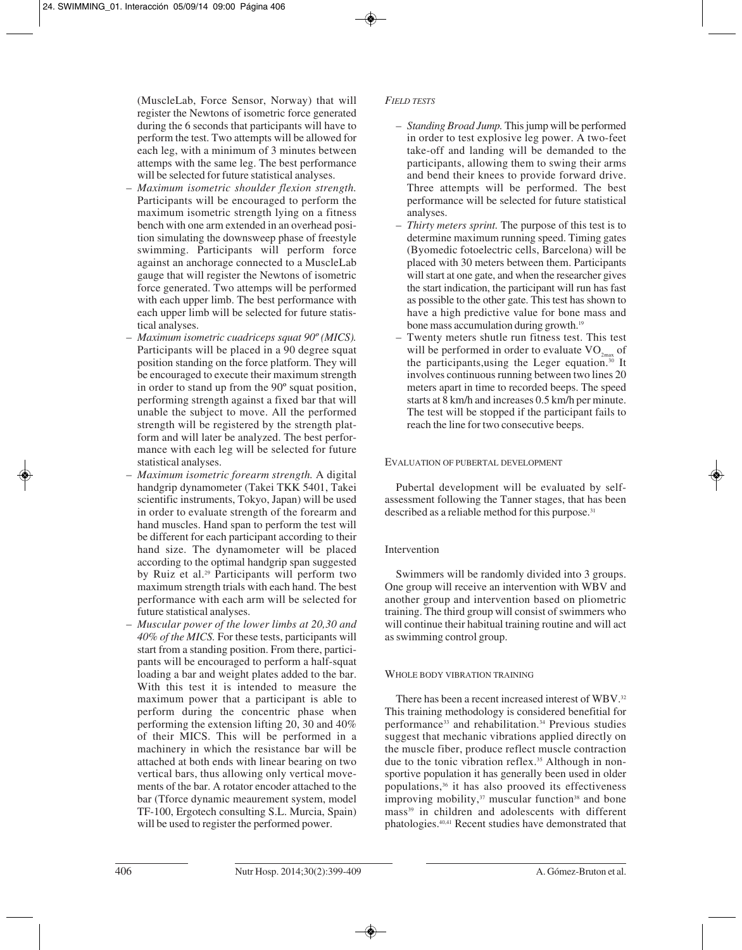(MuscleLab, Force Sensor, Norway) that will register the Newtons of isometric force generated during the 6 seconds that participants will have to perform the test. Two attempts will be allowed for each leg, with a minimum of 3 minutes between attemps with the same leg. The best performance will be selected for future statistical analyses.

- *Maximum isometric shoulder flexion strength.* Participants will be encouraged to perform the maximum isometric strength lying on a fitness bench with one arm extended in an overhead position simulating the downsweep phase of freestyle swimming. Participants will perform force against an anchorage connected to a MuscleLab gauge that will register the Newtons of isometric force generated. Two attemps will be performed with each upper limb. The best performance with each upper limb will be selected for future statistical analyses.
- *Maximum isometric cuadriceps squat 90º (MICS).* Participants will be placed in a 90 degree squat position standing on the force platform. They will be encouraged to execute their maximum strength in order to stand up from the 90º squat position, performing strength against a fixed bar that will unable the subject to move. All the performed strength will be registered by the strength platform and will later be analyzed. The best performance with each leg will be selected for future statistical analyses.
- *Maximum isometric forearm strength.* A digital handgrip dynamometer (Takei TKK 5401, Takei scientific instruments, Tokyo, Japan) will be used in order to evaluate strength of the forearm and hand muscles. Hand span to perform the test will be different for each participant according to their hand size. The dynamometer will be placed according to the optimal handgrip span suggested by Ruiz et al.29 Participants will perform two maximum strength trials with each hand. The best performance with each arm will be selected for future statistical analyses.
- *Muscular power of the lower limbs at 20,30 and 40% of the MICS.* For these tests, participants will start from a standing position. From there, participants will be encouraged to perform a half-squat loading a bar and weight plates added to the bar. With this test it is intended to measure the maximum power that a participant is able to perform during the concentric phase when performing the extension lifting 20, 30 and 40% of their MICS. This will be performed in a machinery in which the resistance bar will be attached at both ends with linear bearing on two vertical bars, thus allowing only vertical movements of the bar. A rotator encoder attached to the bar (Tforce dynamic meaurement system, model TF-100, Ergotech consulting S.L. Murcia, Spain) will be used to register the performed power.

# *FIELD TESTS*

- *Standing Broad Jump.* This jump will be performed in order to test explosive leg power. A two-feet take-off and landing will be demanded to the participants, allowing them to swing their arms and bend their knees to provide forward drive. Three attempts will be performed. The best performance will be selected for future statistical analyses.
- *Thirty meters sprint.* The purpose of this test is to determine maximum running speed. Timing gates (Byomedic fotoelectric cells, Barcelona) will be placed with 30 meters between them. Participants will start at one gate, and when the researcher gives the start indication, the participant will run has fast as possible to the other gate. This test has shown to have a high predictive value for bone mass and bone mass accumulation during growth.<sup>19</sup>
- Twenty meters shutle run fitness test. This test will be performed in order to evaluate  $VO_{2max}$  of the participants,using the Leger equation.30 It involves continuous running between two lines 20 meters apart in time to recorded beeps. The speed starts at 8 km/h and increases 0.5 km/h per minute. The test will be stopped if the participant fails to reach the line for two consecutive beeps.

### EVALUATION OF PUBERTAL DEVELOPMENT

Pubertal development will be evaluated by selfassessment following the Tanner stages, that has been described as a reliable method for this purpose.<sup>31</sup>

# Intervention

Swimmers will be randomly divided into 3 groups. One group will receive an intervention with WBV and another group and intervention based on pliometric training. The third group will consist of swimmers who will continue their habitual training routine and will act as swimming control group.

#### WHOLE BODY VIBRATION TRAINING

There has been a recent increased interest of WBV.32 This training methodology is considered benefitial for performance<sup>33</sup> and rehabilitation.<sup>34</sup> Previous studies suggest that mechanic vibrations applied directly on the muscle fiber, produce reflect muscle contraction due to the tonic vibration reflex.<sup>35</sup> Although in nonsportive population it has generally been used in older populations,36 it has also prooved its effectiveness improving mobility, $37$  muscular function<sup>38</sup> and bone mass<sup>39</sup> in children and adolescents with different phatologies.40,41 Recent studies have demonstrated that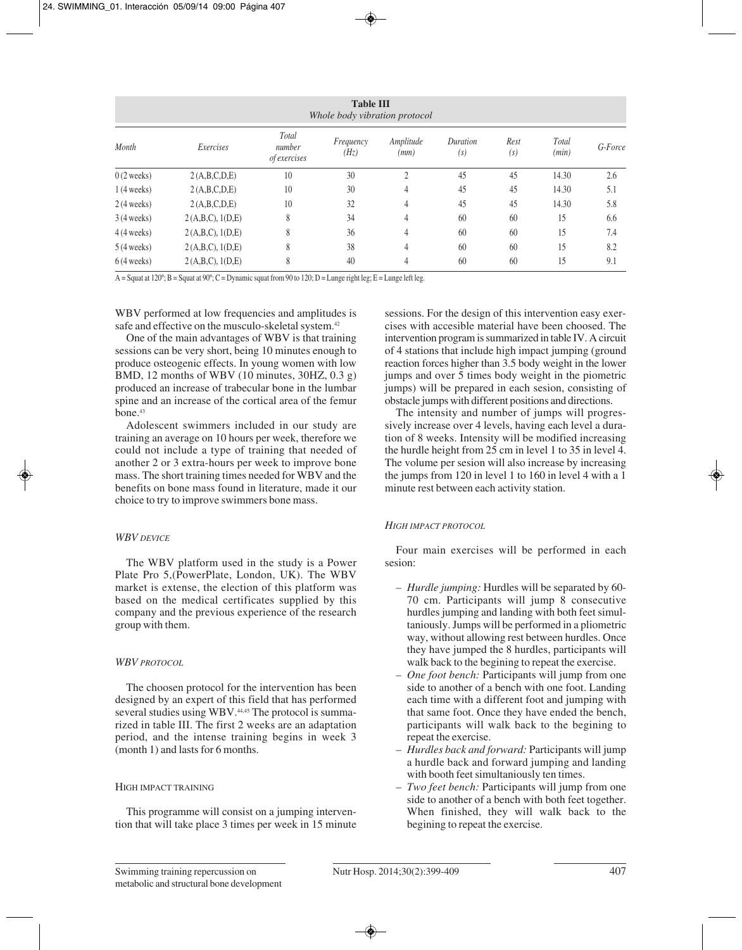| <b>Table III</b><br>Whole body vibration protocol |                  |                                        |                   |                   |                 |             |                |         |  |
|---------------------------------------------------|------------------|----------------------------------------|-------------------|-------------------|-----------------|-------------|----------------|---------|--|
| Month                                             | Exercises        | Total<br>number<br><i>of exercises</i> | Frequency<br>(Hz) | Amplitude<br>(mm) | Duration<br>(s) | Rest<br>(s) | Total<br>(min) | G-Force |  |
| $0(2 \text{ weeks})$                              | 2(A,B,C,D,E)     | 10                                     | 30                | $\overline{2}$    | 45              | 45          | 14.30          | 2.6     |  |
| $1(4 \text{ weeks})$                              | 2(A,B,C,D,E)     | 10                                     | 30                | $\overline{4}$    | 45              | 45          | 14.30          | 5.1     |  |
| $2(4 \text{ weeks})$                              | 2(A,B,C,D,E)     | 10                                     | 32                | $\overline{4}$    | 45              | 45          | 14.30          | 5.8     |  |
| $3(4 \text{ weeks})$                              | 2(A,B,C), 1(D,E) | 8                                      | 34                | $\overline{4}$    | 60              | 60          | 15             | 6.6     |  |
| $4(4 \text{ weeks})$                              | 2(A,B,C), 1(D,E) | 8                                      | 36                | $\overline{4}$    | 60              | 60          | 15             | 7.4     |  |
| $5(4 \text{ weeks})$                              | 2(A,B,C), 1(D,E) | 8                                      | 38                | $\overline{4}$    | 60              | 60          | 15             | 8.2     |  |
| $6(4 \text{ weeks})$                              | 2(A,B,C), 1(D,E) | 8                                      | 40                | $\overline{4}$    | 60              | 60          | 15             | 9.1     |  |

A = Squat at 120°; B = Squat at 90°; C = Dynamic squat from 90 to 120; D = Lunge right leg; E = Lunge left leg.

WBV performed at low frequencies and amplitudes is safe and effective on the musculo-skeletal system.<sup>42</sup>

One of the main advantages of WBV is that training sessions can be very short, being 10 minutes enough to produce osteogenic effects. In young women with low BMD, 12 months of WBV (10 minutes, 30HZ, 0.3 g) produced an increase of trabecular bone in the lumbar spine and an increase of the cortical area of the femur bone.43

Adolescent swimmers included in our study are training an average on 10 hours per week, therefore we could not include a type of training that needed of another 2 or 3 extra-hours per week to improve bone mass. The short training times needed for WBV and the benefits on bone mass found in literature, made it our choice to try to improve swimmers bone mass.

#### *WBV DEVICE*

The WBV platform used in the study is a Power Plate Pro 5,(PowerPlate, London, UK). The WBV market is extense, the election of this platform was based on the medical certificates supplied by this company and the previous experience of the research group with them.

#### *WBV PROTOCOL*

The choosen protocol for the intervention has been designed by an expert of this field that has performed several studies using WBV.<sup>44,45</sup> The protocol is summarized in table III. The first 2 weeks are an adaptation period, and the intense training begins in week 3 (month 1) and lasts for 6 months.

#### HIGH IMPACT TRAINING

This programme will consist on a jumping intervention that will take place 3 times per week in 15 minute sessions. For the design of this intervention easy exercises with accesible material have been choosed. The intervention program is summarized in table IV. A circuit of 4 stations that include high impact jumping (ground reaction forces higher than 3.5 body weight in the lower jumps and over  $\bar{5}$  times body weight in the piometric jumps) will be prepared in each sesion, consisting of obstacle jumps with different positions and directions.

The intensity and number of jumps will progressively increase over 4 levels, having each level a duration of 8 weeks. Intensity will be modified increasing the hurdle height from 25 cm in level 1 to 35 in level 4. The volume per sesion will also increase by increasing the jumps from 120 in level 1 to 160 in level 4 with a 1 minute rest between each activity station.

#### *HIGH IMPACT PROTOCOL*

Four main exercises will be performed in each sesion:

- *Hurdle jumping:* Hurdles will be separated by 60- 70 cm. Participants will jump 8 consecutive hurdles jumping and landing with both feet simultaniously. Jumps will be performed in a pliometric way, without allowing rest between hurdles. Once they have jumped the 8 hurdles, participants will walk back to the begining to repeat the exercise.
- *One foot bench:* Participants will jump from one side to another of a bench with one foot. Landing each time with a different foot and jumping with that same foot. Once they have ended the bench, participants will walk back to the begining to repeat the exercise.
- *Hurdles back and forward:* Participants will jump a hurdle back and forward jumping and landing with booth feet simultaniously ten times.
- *Two feet bench:* Participants will jump from one side to another of a bench with both feet together. When finished, they will walk back to the begining to repeat the exercise.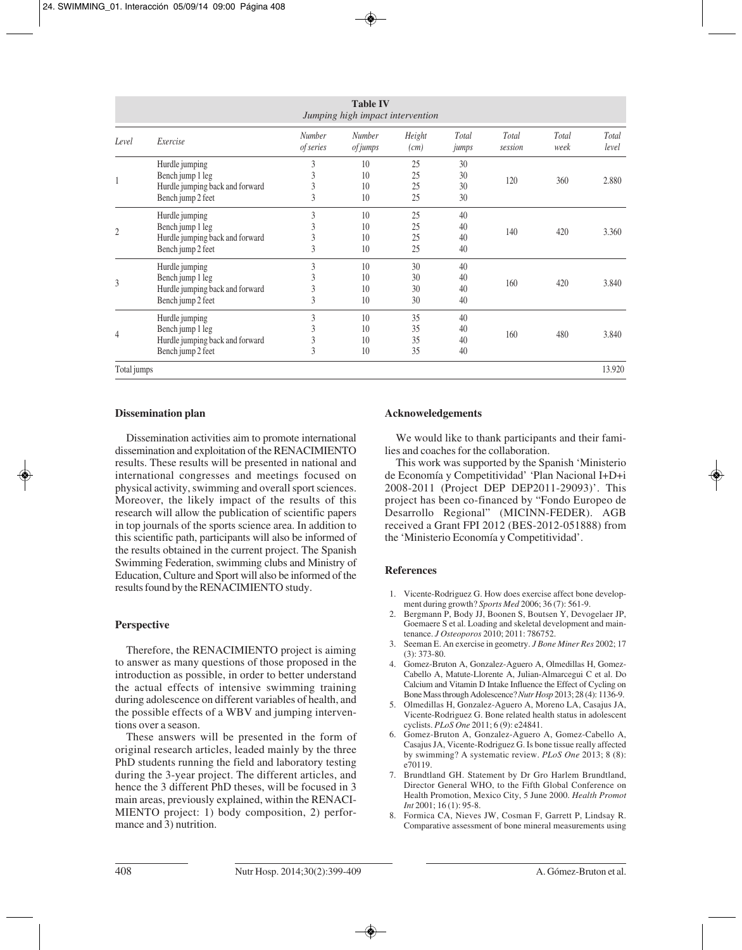| <b>Table IV</b><br>Jumping high impact intervention |                                                                                            |                            |                                  |                      |                      |                  |               |                |
|-----------------------------------------------------|--------------------------------------------------------------------------------------------|----------------------------|----------------------------------|----------------------|----------------------|------------------|---------------|----------------|
| Level                                               | Exercise                                                                                   | <b>Number</b><br>of series | <b>Number</b><br><i>of jumps</i> | Height<br>(cm)       | Total<br>jumps       | Total<br>session | Total<br>week | Total<br>level |
| 1                                                   | Hurdle jumping<br>Bench jump 1 leg<br>Hurdle jumping back and forward<br>Bench jump 2 feet | 3<br>3<br>3<br>3           | 10<br>10<br>10<br>10             | 25<br>25<br>25<br>25 | 30<br>30<br>30<br>30 | 120              | 360           | 2.880          |
| $\overline{2}$                                      | Hurdle jumping<br>Bench jump 1 leg<br>Hurdle jumping back and forward<br>Bench jump 2 feet | 3<br>3<br>3<br>3           | 10<br>10<br>10<br>10             | 25<br>25<br>25<br>25 | 40<br>40<br>40<br>40 | 140              | 420           | 3.360          |
| 3                                                   | Hurdle jumping<br>Bench jump 1 leg<br>Hurdle jumping back and forward<br>Bench jump 2 feet | 3<br>3<br>3<br>3           | 10<br>10<br>10<br>10             | 30<br>30<br>30<br>30 | 40<br>40<br>40<br>40 | 160              | 420           | 3.840          |
| 4                                                   | Hurdle jumping<br>Bench jump 1 leg<br>Hurdle jumping back and forward<br>Bench jump 2 feet | 3<br>3<br>3<br>3           | 10<br>10<br>10<br>10             | 35<br>35<br>35<br>35 | 40<br>40<br>40<br>40 | 160              | 480           | 3.840          |
| Total jumps                                         |                                                                                            |                            |                                  |                      |                      |                  |               | 13.920         |

#### **Dissemination plan**

Dissemination activities aim to promote international dissemination and exploitation of the RENACIMIENTO results. These results will be presented in national and international congresses and meetings focused on physical activity, swimming and overall sport sciences. Moreover, the likely impact of the results of this research will allow the publication of scientific papers in top journals of the sports science area. In addition to this scientific path, participants will also be informed of the results obtained in the current project. The Spanish Swimming Federation, swimming clubs and Ministry of Education, Culture and Sport will also be informed of the results found by the RENACIMIENTO study.

#### **Perspective**

Therefore, the RENACIMIENTO project is aiming to answer as many questions of those proposed in the introduction as possible, in order to better understand the actual effects of intensive swimming training during adolescence on different variables of health, and the possible effects of a WBV and jumping interventions over a season.

These answers will be presented in the form of original research articles, leaded mainly by the three PhD students running the field and laboratory testing during the 3-year project. The different articles, and hence the 3 different PhD theses, will be focused in 3 main areas, previously explained, within the RENACI-MIENTO project: 1) body composition, 2) performance and 3) nutrition.

#### **Acknoweledgements**

We would like to thank participants and their families and coaches for the collaboration.

This work was supported by the Spanish 'Ministerio de Economía y Competitividad' 'Plan Nacional I+D+i 2008-2011 (Project DEP DEP2011-29093)'. This project has been co-financed by "Fondo Europeo de Desarrollo Regional" (MICINN-FEDER). AGB received a Grant FPI 2012 (BES-2012-051888) from the 'Ministerio Economía y Competitividad'.

#### **References**

- 1. Vicente-Rodriguez G. How does exercise affect bone development during growth? *Sports Med* 2006; 36 (7): 561-9.
- 2. Bergmann P, Body JJ, Boonen S, Boutsen Y, Devogelaer JP, Goemaere S et al. Loading and skeletal development and maintenance. *J Osteoporos* 2010; 2011: 786752.
- 3. Seeman E. An exercise in geometry. *J Bone Miner Res* 2002; 17 (3): 373-80.
- 4. Gomez-Bruton A, Gonzalez-Aguero A, Olmedillas H, Gomez-Cabello A, Matute-Llorente A, Julian-Almarcegui C et al. Do Calcium and Vitamin D Intake Influence the Effect of Cycling on Bone Mass through Adolescence? *Nutr Hosp* 2013; 28 (4): 1136-9.
- 5. Olmedillas H, Gonzalez-Aguero A, Moreno LA, Casajus JA, Vicente-Rodriguez G. Bone related health status in adolescent cyclists. *PLoS One* 2011; 6 (9): e24841.
- 6. Gomez-Bruton A, Gonzalez-Aguero A, Gomez-Cabello A, Casajus JA, Vicente-Rodriguez G. Is bone tissue really affected by swimming? A systematic review. *PLoS One* 2013; 8 (8): e70119.
- 7. Brundtland GH. Statement by Dr Gro Harlem Brundtland, Director General WHO, to the Fifth Global Conference on Health Promotion, Mexico City, 5 June 2000. *Health Promot Int* 2001; 16 (1): 95-8.
- 8. Formica CA, Nieves JW, Cosman F, Garrett P, Lindsay R. Comparative assessment of bone mineral measurements using